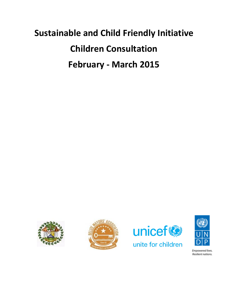# **Sustainable and Child Friendly Initiative Children Consultation February - March 2015**









Empowered lives. Resilient nations.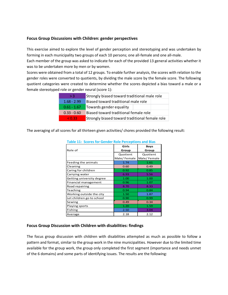### **Focus Group Discussions with Children: gender perspectives**

This exercise aimed to explore the level of gender perception and stereotyping and was undertaken by forming in each municipality two groups of each 10 persons; one all-female and one all-male.

Each member of the group was asked to indicate for each of the provided 13 general activities whether it was to be undertaken more by men or by women.

Scores were obtained from a total of 12 groups. To enable further analysis, the scores with relation to the gender roles were converted to quotients, by dividing the male score by the female score. The following quotient categories were created to determine whether the scores depicted a bias toward a male or a female stereotyped role or gender neural (score 1):

| > 3           | Strongly biased toward traditional male role   |  |  |
|---------------|------------------------------------------------|--|--|
| $1.68 - 2.99$ | Biased toward traditional male role            |  |  |
| $0.61 - 1.67$ | Towards gender equality                        |  |  |
| $0.33 - 0.60$ | Biased toward traditional female role          |  |  |
| < 0.33        | Strongly biased toward traditional female role |  |  |

The averaging of all scores for all thirteen given activities/ chores provided the following result:

| apic 11. Jeonej ion Genaen noie i enceptions and plas |             |             |  |  |
|-------------------------------------------------------|-------------|-------------|--|--|
|                                                       | Girls       | <b>Boys</b> |  |  |
| Role of                                               | Group       | Group       |  |  |
|                                                       | Quotient    | Quotient    |  |  |
|                                                       | Male/Female | Male/Female |  |  |
| Feeding the animals                                   | 1.74        | 1.61        |  |  |
| Cleaning                                              | 0.60        | 0.49        |  |  |
| Caring for children                                   | 0.92        | 0.85        |  |  |
| Carrying water                                        | 6.93        | 5.56        |  |  |
| Getting university degree                             | 1.00        | 1.00        |  |  |
| Financial management                                  | 0.96        | 1.07        |  |  |
| Road repairing                                        | 8.70        | 8.33        |  |  |
| Teaching                                              | 0.94        | 0.84        |  |  |
| Working outside the city                              | 1.50        | 1.87        |  |  |
| Let children go to school                             | 0.90        | 0.99        |  |  |
| Sewing                                                | 0.49        | 0.34        |  |  |
| Playing sports                                        | 1.20        | 1.59        |  |  |
| Fishing                                               | 2.50        | 3.04        |  |  |
| Average                                               | 2.18        | 2.12        |  |  |

### **Table 11: Scores for Gender Role Perceptions and Bias**

#### **Focus Group Discussion with Children with disabilities: findings**

The focus group discussion with children with disabilities attempted as much as possible to follow a pattern and format, similar to the group work in the nine municipalities. However due to the limited time available for the group work, the group only completed the first segment (importance and needs unmet of the 6 domains) and some parts of identifying issues. The results are the following: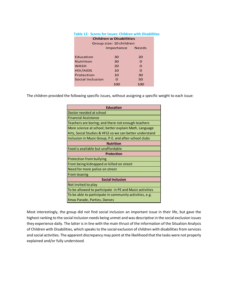| Table 12: Scores for Issues: Children with Disabili |                         |              |  |  |  |  |
|-----------------------------------------------------|-------------------------|--------------|--|--|--|--|
| <b>Children w Disabilities</b>                      |                         |              |  |  |  |  |
|                                                     | Group size: 10 children |              |  |  |  |  |
|                                                     | Importance              | <b>Needs</b> |  |  |  |  |
|                                                     |                         |              |  |  |  |  |
| Education                                           | 30                      | 20           |  |  |  |  |
| <b>Nutrition</b>                                    | 30                      | $\Omega$     |  |  |  |  |
| <b>WASH</b>                                         | 20                      | $\Omega$     |  |  |  |  |
| <b>HIV/AIDS</b>                                     | 10                      | $\Omega$     |  |  |  |  |
| Protection                                          | 10                      | 30           |  |  |  |  |
| Social Inclusion                                    | $\Omega$                | 50           |  |  |  |  |
|                                                     | 100                     | 100          |  |  |  |  |
|                                                     |                         |              |  |  |  |  |

## **Table 12: Scores for Issues: Children with Disabilities**

The children provided the following specific issues, without assigning a specific weight to each issue:

| <b>Education</b>                                        |  |  |  |
|---------------------------------------------------------|--|--|--|
| Doctor needed at school                                 |  |  |  |
| <b>Financial Assistance</b>                             |  |  |  |
| Teachers are boring; and there not enough teachers      |  |  |  |
| More science at school; better explain Math, Language   |  |  |  |
| Arts, Social Studies & HFLE so we can better understand |  |  |  |
| Inclusion in Music Group, P.E. and after-school clubs   |  |  |  |
| <b>Nutrition</b>                                        |  |  |  |
| Food is available but unaffordable                      |  |  |  |
| <b>Protection</b>                                       |  |  |  |
| <b>Protection from bullying</b>                         |  |  |  |
| From being kidnapped or killed on street                |  |  |  |
| Need for more police on street                          |  |  |  |
| From teasing                                            |  |  |  |
| <b>Social Inclusion</b>                                 |  |  |  |
| Not invited to play                                     |  |  |  |
| To be allowed to participate in PE and Music activities |  |  |  |
| To be able to participate in community activities, e.g. |  |  |  |
| Xmas Parade, Parties, Dances                            |  |  |  |

Most interestingly, the group did not find social inclusion an important issue in their life, but gave the highest ranking to the social inclusion needs being unmet and was descriptive in the social exclusion issues they experience daily. The latter is in line with the main thrust of the information of the Situation Analysis of Children with Disabilities, which speaks to the social exclusion of children with disabilities from services and social activities. The apparent discrepancy may point at the likelihood that the tasks were not properly explained and/or fully understood.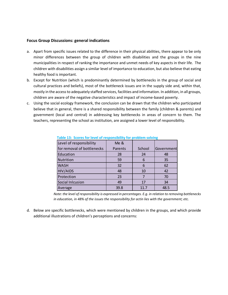#### **Focus Group Discussions: general indications**

- a. Apart from specific issues related to the difference in their physical abilities, there appear to be only minor differences between the group of children with disabilities and the groups in the nine municipalities in respect of ranking the importance and unmet needs of key aspects in their life. The children with disabilities assign a similar level of importance to education, but also believe that eating healthy food is important.
- b. Except for Nutrition (which is predominantly determined by bottlenecks in the group of social and cultural practices and beliefs), most of the bottleneck issues are in the supply side and, within that, mostly in the access to adequately staffed services, facilities and information. In addition, in all groups, children are aware of the negative characteristics and impact of income-based poverty.
- c. Using the social ecology framework, the conclusion can be drawn that the children who participated believe that in general, there is a shared responsibility between the family (children & parents) and government (local and central) in addressing key bottlenecks in areas of concern to them. The teachers, representing the school as institution, are assigned a lower level of responsibility.

| Level of responsibility    | Me &    |        |            |
|----------------------------|---------|--------|------------|
| for removal of bottlenecks | Parents | School | Government |
| Education                  | 28      | 24     | 48         |
| Nutrition                  | 59      | 6      | 35         |
| <b>WASH</b>                | 32      | 6      | 62         |
| <b>HIV/AIDS</b>            | 48      | 10     | 42         |
| Protection                 | 23      |        | 70         |
| Social Inlcusion           | 49      | 17     | 34         |
| Average                    | 39.8    | 11.7   | 48.5       |

**Table 13: Scores for level of responsibility for problem solving** 

*Note: the level of responsibility is expressed in percentages. E.g. in relation to removing bottlenecks in education, in 48% of the issues the responsibility for actin lies with the government; etc.*

d. Below are specific bottlenecks, which were mentioned by children in the groups, and which provide additional illustrations of children's perceptions and concerns: